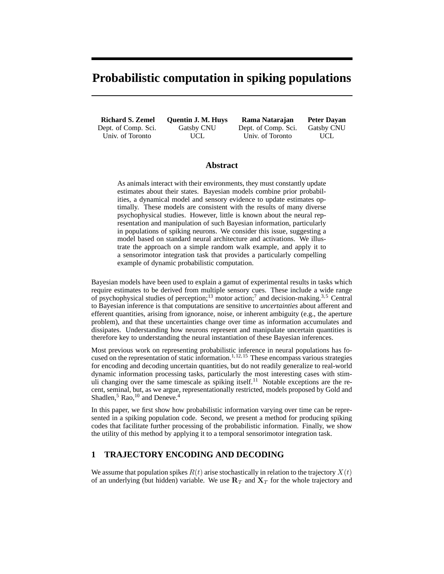# **Probabilistic computation in spiking populations**

**Richard S. Zemel** Dept. of Comp. Sci. Univ. of Toronto

**Quentin J. M. Huys** Gatsby CNU UCL

**Rama Natarajan** Dept. of Comp. Sci. Univ. of Toronto

**Peter Dayan** Gatsby CNU UCL

#### **Abstract**

As animals interact with their environments, they must constantly update estimates about their states. Bayesian models combine prior probabilities, a dynamical model and sensory evidence to update estimates optimally. These models are consistent with the results of many diverse psychophysical studies. However, little is known about the neural representation and manipulation of such Bayesian information, particularly in populations of spiking neurons. We consider this issue, suggesting a model based on standard neural architecture and activations. We illustrate the approach on a simple random walk example, and apply it to a sensorimotor integration task that provides a particularly compelling example of dynamic probabilistic computation.

Bayesian models have been used to explain a gamut of experimental results in tasks which require estimates to be derived from multiple sensory cues. These include a wide range of psychophysical studies of perception;<sup>13</sup> motor action;<sup>7</sup> and decision-making.<sup>3,5</sup> Central to Bayesian inference is that computations are sensitive to *uncertainties* about afferent and efferent quantities, arising from ignorance, noise, or inherent ambiguity (e.g., the aperture problem), and that these uncertainties change over time as information accumulates and dissipates. Understanding how neurons represent and manipulate uncertain quantities is therefore key to understanding the neural instantiation of these Bayesian inferences.

Most previous work on representing probabilistic inference in neural populations has focused on the representation of static information.<sup>1, 12, 15</sup> These encompass various strategies for encoding and decoding uncertain quantities, but do not readily generalize to real-world dynamic information processing tasks, particularly the most interesting cases with stimuli changing over the same timescale as spiking itself.<sup>11</sup> Notable exceptions are the recent, seminal, but, as we argue, representationally restricted, models proposed by Gold and Shadlen,<sup>5</sup> Rao,<sup>10</sup> and Deneve.<sup>4</sup>

In this paper, we first show how probabilistic information varying over time can be represented in a spiking population code. Second, we present a method for producing spiking codes that facilitate further processing of the probabilistic information. Finally, we show the utility of this method by applying it to a temporal sensorimotor integration task.

### **1 TRAJECTORY ENCODING AND DECODING**

We assume that population spikes  $R(t)$  arise stochastically in relation to the trajectory  $X(t)$ of an underlying (but hidden) variable. We use  $\mathbb{R}_T$  and  $\mathbb{X}_T$  for the whole trajectory and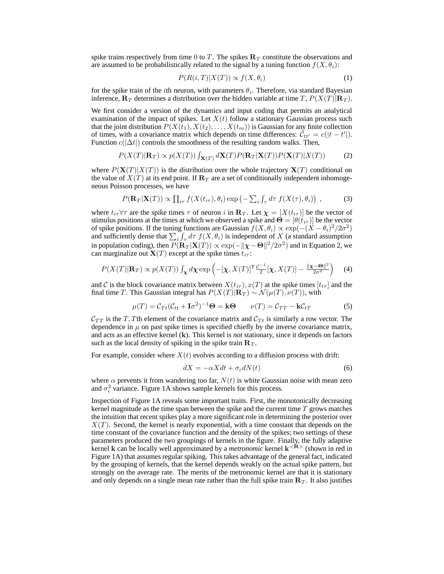spike trains respectively from time 0 to T. The spikes  $\mathbf{R}_T$  constitute the observations and are assumed to be probabilistically related to the signal by a tuning function  $f(X, \theta_i)$ :

$$
P(R(i,T)|X(T)) \propto f(X,\theta_i) \tag{1}
$$

for the spike train of the *i*th neuron, with parameters  $\theta_i$ . Therefore, via standard Bayesian inference,  $\mathbf{R}_T$  determines a distribution over the hidden variable at time T,  $P(X(T)|\mathbf{R}_T)$ .

We first consider a version of the dynamics and input coding that permits an analytical examination of the impact of spikes. Let  $X(t)$  follow a stationary Gaussian process such that the joint distribution  $P(X(t_1), X(t_2), \ldots, X(t_m))$  is Gaussian for any finite collection of times, with a covariance matrix which depends on time differences:  $\mathcal{C}_{tt'} = c(|t - t'|)$ . Function  $c(|\Delta t|)$  controls the smoothness of the resulting random walks. Then,

$$
P(X(T)|\mathbf{R}_T) \propto p(X(T)) \int_{\mathbf{X}(T)} d\mathbf{X}(T) P(\mathbf{R}_T | \mathbf{X}(T)) P(\mathbf{X}(T) | X(T)) \tag{2}
$$

where  $P(\mathbf{X}(T)|X(T))$  is the distribution over the whole trajectory  $\mathbf{X}(T)$  conditional on the value of  $X(T)$  at its end point. If  $\mathbb{R}_T$  are a set of conditionally independent inhomogeneous Poisson processes, we have

$$
P(\mathbf{R}_T|\mathbf{X}(T)) \propto \prod_{i\tau} f(X(t_{i\tau}), \theta_i) \exp\left(-\sum_i \int_{\tau} d\tau \ f(X(\tau), \theta_i)\right) ,\tag{3}
$$

where  $t_{i\tau}\forall\tau$  are the spike times  $\tau$  of neuron i in  $\mathbf{R}_T$ . Let  $\boldsymbol{\chi} = [X(t_{i\tau})]$  be the vector of stimulus positions at the times at which we observed a spike and  $\Theta = [\theta(t_{i\tau})]$  be the vector of spike positions. If the tuning functions are Gaussian  $f(X, \theta_i) \propto \exp(-(X - \theta_i)^2/2\sigma^2)$ and sufficiently dense that  $\sum_i \int_{\tau} d\tau f(X, \theta_i)$  is independent of X (a standard assumption in population coding), then  $P(\mathbf{R}_T | \mathbf{X}(T)) \propto \exp(-\|\boldsymbol{\chi} - \boldsymbol{\Theta}\|^2 / 2\sigma^2)$  and in Equation 2, we can marginalize out  $\mathbf{X}(T)$  except at the spike times  $t_{i\tau}$ :

$$
P(X(T)|\mathbf{R}_T) \propto p(X(T)) \int_{\mathbf{\chi}} d\mathbf{\chi} \exp\left(-[\mathbf{\chi}, X(T)]^{\mathsf{T}} \frac{\mathcal{C}^{-1}}{2} [\mathbf{\chi}, X(T)] - \frac{\|\mathbf{\chi} - \mathbf{\Theta}\|^2}{2\sigma^2}\right) \tag{4}
$$

and C is the block covariance matrix between  $X(t_{i\tau}), x(T)$  at the spike times  $[t_{t\tau}]$  and the final time T. This Gaussian integral has  $P(X(T)|\mathbf{R}_T) \sim \mathcal{N}(\mu(T), \nu(T))$ , with

$$
\mu(T) = \mathcal{C}_{Tt}(\mathcal{C}_{tt} + \mathbf{I}\sigma^2)^{-1}\Theta = \mathbf{k}\Theta \qquad \nu(T) = \mathcal{C}_{TT} - \mathbf{k}\mathcal{C}_{tT} \tag{5}
$$

 $C_{TT}$  is the T, Tth element of the covariance matrix and  $C_{Tt}$  is similarly a row vector. The dependence in  $\mu$  on past spike times is specified chiefly by the inverse covariance matrix, and acts as an effective kernel (k). This kernel is *not* stationary, since it depends on factors such as the local density of spiking in the spike train  $\mathbf{R}_T$ .

For example, consider where  $X(t)$  evolves according to a diffusion process with drift:

$$
dX = -\alpha X dt + \sigma_{\epsilon} dN(t) \tag{6}
$$

where  $\alpha$  prevents it from wandering too far,  $N(t)$  is white Gaussian noise with mean zero and  $\sigma_{\epsilon}^2$  variance. Figure 1A shows sample kernels for this process.

Inspection of Figure 1A reveals some important traits. First, the monotonically decreasing kernel magnitude as the time span between the spike and the current time  $T$  grows matches the intuition that recent spikes play a more significant role in determining the posterior over  $X(T)$ . Second, the kernel is nearly exponential, with a time constant that depends on the time constant of the covariance function and the density of the spikes; two settings of these parameters produced the two groupings of kernels in the figure. Finally, the fully adaptive kernel k can be locally well approximated by a *metronomic* kernel  $k < \hat{R}$  (shown in red in Figure 1A) that assumes regular spiking. This takes advantage of the general fact, indicated by the grouping of kernels, that the kernel depends weakly on the actual spike pattern, but strongly on the average rate. The merits of the metronomic kernel are that it is stationary and only depends on a single mean rate rather than the full spike train  $\mathbf{R}_T$ . It also justifies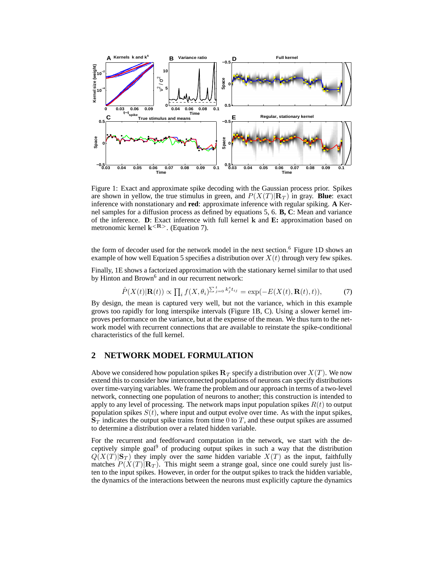

Figure 1: Exact and approximate spike decoding with the Gaussian process prior. Spikes are shown in yellow, the true stimulus in green, and  $P(X(T)|\mathbf{R}_T)$  in gray. **Blue**: exact inference with nonstationary and **red**: approximate inference with regular spiking. **A** Kernel samples for a diffusion process as defined by equations 5, 6. **B, C**: Mean and variance of the inference. **D**: Exact inference with full kernel k and **E:** approximation based on metronomic kernel  $k^{<\mathbf{R}>}$ . (Equation 7).

the form of decoder used for the network model in the next section.<sup>6</sup> Figure 1D shows an example of how well Equation 5 specifies a distribution over  $X(t)$  through very few spikes.

Finally, 1E shows a factorized approximation with the stationary kernel similar to that used by Hinton and Brown<sup>6</sup> and in our recurrent network:

$$
\hat{P}(X(t)|\mathbf{R}(t)) \propto \prod_i f(X, \theta_i)^{\sum_{j=0}^t k_j^s t_{ij}} = \exp(-E(X(t), \mathbf{R}(t), t)),\tag{7}
$$

By design, the mean is captured very well, but not the variance, which in this example grows too rapidly for long interspike intervals (Figure 1B, C). Using a slower kernel improves performance on the variance, but at the expense of the mean. We thus turn to the network model with recurrent connections that are available to reinstate the spike-conditional characteristics of the full kernel.

# **2 NETWORK MODEL FORMULATION**

Above we considered how population spikes  $\mathbf{R}_T$  specify a distribution over  $X(T)$ . We now extend this to consider how interconnected populations of neurons can specify distributions over time-varying variables. We frame the problem and our approach in terms of a two-level network, connecting one population of neurons to another; this construction is intended to apply to any level of processing. The network maps input population spikes  $R(t)$  to output population spikes  $S(t)$ , where input and output evolve over time. As with the input spikes,  $S_T$  indicates the output spike trains from time 0 to T, and these output spikes are assumed to determine a distribution over a related hidden variable.

For the recurrent and feedforward computation in the network, we start with the deceptively simple goal<sup>9</sup> of producing output spikes in such a way that the distribution  $Q(X(T)|S_T)$  they imply over the *same* hidden variable  $X(T)$  as the input, faithfully matches  $P(X(T)|\mathbf{R}_T)$ . This might seem a strange goal, since one could surely just listen to the input spikes. However, in order for the output spikes to track the hidden variable, the dynamics of the interactions between the neurons must explicitly capture the dynamics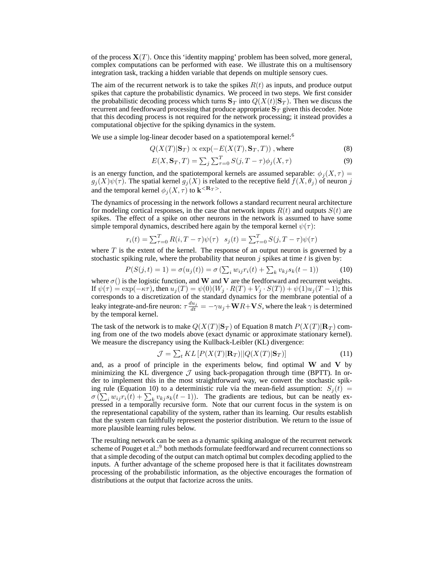of the process  $\mathbf{X}(T)$ . Once this 'identity mapping' problem has been solved, more general, complex computations can be performed with ease. We illustrate this on a multisensory integration task, tracking a hidden variable that depends on multiple sensory cues.

The aim of the recurrent network is to take the spikes  $R(t)$  as inputs, and produce output spikes that capture the probabilistic dynamics. We proceed in two steps. We first consider the probabilistic decoding process which turns  $S_T$  into  $Q(X(t)|S_T)$ . Then we discuss the recurrent and feedforward processing that produce appropriate  $\mathbf{S}_T$  given this decoder. Note that this decoding process is not required for the network processing; it instead provides a computational objective for the spiking dynamics in the system.

We use a simple log-linear decoder based on a spatiotemporal kernel:<sup>6</sup>

$$
Q(X(T)|\mathbf{S}_T) \propto \exp(-E(X(T), \mathbf{S}_T, T)), \text{ where}
$$
\n(8)

$$
E(X, \mathbf{S}_T, T) = \sum_j \sum_{\tau=0}^T S(j, T - \tau) \phi_j(X, \tau)
$$
\n(9)

is an energy function, and the spatiotemporal kernels are assumed separable:  $\phi_i(X, \tau) =$  $g_j(X)\psi(\tau)$ . The spatial kernel  $g_j(X)$  is related to the receptive field  $f(X,\theta_j)$  of neuron j and the temporal kernel  $\phi_j(X, \tau)$  to  $\mathbf{k}^{\leq \mathbf{R}_T>}$ .

The dynamics of processing in the network follows a standard recurrent neural architecture for modeling cortical responses, in the case that network inputs  $R(t)$  and outputs  $S(t)$  are spikes. The effect of a spike on other neurons in the network is assumed to have some simple temporal dynamics, described here again by the temporal kernel  $\psi(\tau)$ :

$$
r_i(t) = \sum_{\tau=0}^{T} R(i, T - \tau) \psi(\tau) \quad s_j(t) = \sum_{\tau=0}^{T} S(j, T - \tau) \psi(\tau)
$$

where  $T$  is the extent of the kernel. The response of an output neuron is governed by a stochastic spiking rule, where the probability that neuron  $j$  spikes at time  $t$  is given by:

$$
P(S(j,t) = 1) = \sigma(u_j(t)) = \sigma(\sum_i w_{ij} r_i(t) + \sum_k v_{kj} s_k(t-1))
$$
 (10)

where  $\sigma$ () is the logistic function, and W and V are the feedforward and recurrent weights. If  $\psi(\tau) = \exp(-\kappa \tau)$ , then  $u_j(T) = \psi(0)(W_j \cdot R(T) + V_j \cdot S(T)) + \psi(1)u_j(T - 1)$ ; this corresponds to a discretization of the standard dynamics for the membrane potential of a leaky integrate-and-fire neuron:  $\tau \frac{du_j}{dt} = -\gamma u_j + \mathbf{W} R + \mathbf{V} S$ , where the leak  $\gamma$  is determined by the temporal kernel.

The task of the network is to make  $Q(X(T)|S_T)$  of Equation 8 match  $P(X(T)|R_T)$  coming from one of the two models above (exact dynamic or approximate stationary kernel). We measure the discrepancy using the Kullback-Leibler (KL) divergence:

$$
\mathcal{J} = \sum_{t} KL\left[ P(X(T)|\mathbf{R}_T) || Q(X(T)|\mathbf{S}_T) \right]
$$
(11)

and, as a proof of principle in the experiments below, find optimal W and V by minimizing the KL divergence  $\mathcal J$  using back-propagation through time (BPTT). In order to implement this in the most straightforward way, we convert the stochastic spiking rule (Equation 10) to a deterministic rule via the mean-field assumption:  $S_i(t)$  =  $\sigma\left(\sum_i w_{ij} r_i(t) + \sum_k v_{kj} s_k(t-1)\right)$ . The gradients are tedious, but can be neatly expressed in a temporally recursive form. Note that our current focus in the system is on the representational capability of the system, rather than its learning. Our results establish that the system can faithfully represent the posterior distribution. We return to the issue of more plausible learning rules below.

The resulting network can be seen as a dynamic spiking analogue of the recurrent network scheme of Pouget et al.:<sup>9</sup> both methods formulate feedforward and recurrent connections so that a simple decoding of the output can match optimal but complex decoding applied to the inputs. A further advantage of the scheme proposed here is that it facilitates downstream processing of the probabilistic information, as the objective encourages the formation of distributions at the output that factorize across the units.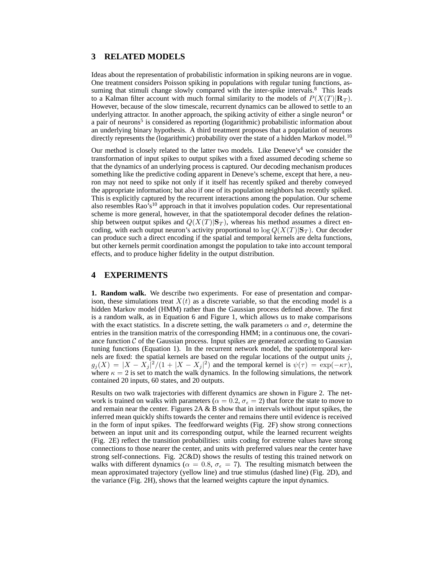#### **3 RELATED MODELS**

Ideas about the representation of probabilistic information in spiking neurons are in vogue. One treatment considers Poisson spiking in populations with regular tuning functions, assuming that stimuli change slowly compared with the inter-spike intervals. $8$  This leads to a Kalman filter account with much formal similarity to the models of  $P(X(T)|R_T)$ . However, because of the slow timescale, recurrent dynamics can be allowed to settle to an underlying attractor. In another approach, the spiking activity of either a single neuron<sup>4</sup> or a pair of neurons<sup>5</sup> is considered as reporting (logarithmic) probabilistic information about an underlying binary hypothesis. A third treatment proposes that a population of neurons directly represents the (logarithmic) probability over the state of a hidden Markov model.<sup>10</sup>

Our method is closely related to the latter two models. Like Deneve's<sup>4</sup> we consider the transformation of input spikes to output spikes with a fixed assumed decoding scheme so that the dynamics of an underlying process is captured. Our decoding mechanism produces something like the predictive coding apparent in Deneve's scheme, except that here, a neuron may not need to spike not only if it itself has recently spiked and thereby conveyed the appropriate information; but also if one of its population neighbors has recently spiked. This is explicitly captured by the recurrent interactions among the population. Our scheme also resembles Rao's<sup>10</sup> approach in that it involves population codes. Our representational scheme is more general, however, in that the spatiotemporal decoder defines the relationship between output spikes and  $Q(X(T)|S_T)$ , whereas his method assumes a direct encoding, with each output neuron's activity proportional to  $\log Q(X(T)|S_T)$ . Our decoder can produce such a direct encoding if the spatial and temporal kernels are delta functions, but other kernels permit coordination amongst the population to take into account temporal effects, and to produce higher fidelity in the output distribution.

#### **4 EXPERIMENTS**

**1. Random walk.** We describe two experiments. For ease of presentation and comparison, these simulations treat  $X(t)$  as a discrete variable, so that the encoding model is a hidden Markov model (HMM) rather than the Gaussian process defined above. The first is a random walk, as in Equation 6 and Figure 1, which allows us to make comparisons with the exact statistics. In a discrete setting, the walk parameters  $\alpha$  and  $\sigma_{\epsilon}$  determine the entries in the transition matrix of the corresponding HMM; in a continuous one, the covariance function  $C$  of the Gaussian process. Input spikes are generated according to Gaussian tuning functions (Equation 1). In the recurrent network model, the spatiotemporal kernels are fixed: the spatial kernels are based on the regular locations of the output units  $j$ ,  $g_j(X) = |X - X_j|^2/(1 + |X - X_j|^2)$  and the temporal kernel is  $\psi(\tau) = \exp(-\kappa \tau)$ , where  $\kappa = 2$  is set to match the walk dynamics. In the following simulations, the network contained 20 inputs, 60 states, and 20 outputs.

Results on two walk trajectories with different dynamics are shown in Figure 2. The network is trained on walks with parameters ( $\alpha = 0.2$ ,  $\sigma_{\epsilon} = 2$ ) that force the state to move to and remain near the center. Figures  $2A \& B$  show that in intervals without input spikes, the inferred mean quickly shifts towards the center and remains there until evidence is received in the form of input spikes. The feedforward weights (Fig. 2F) show strong connections between an input unit and its corresponding output, while the learned recurrent weights (Fig. 2E) reflect the transition probabilities: units coding for extreme values have strong connections to those nearer the center, and units with preferred values near the center have strong self-connections. Fig. 2C&D) shows the results of testing this trained network on walks with different dynamics ( $\alpha = 0.8$ ,  $\sigma_{\epsilon} = 7$ ). The resulting mismatch between the mean approximated trajectory (yellow line) and true stimulus (dashed line) (Fig. 2D), and the variance (Fig. 2H), shows that the learned weights capture the input dynamics.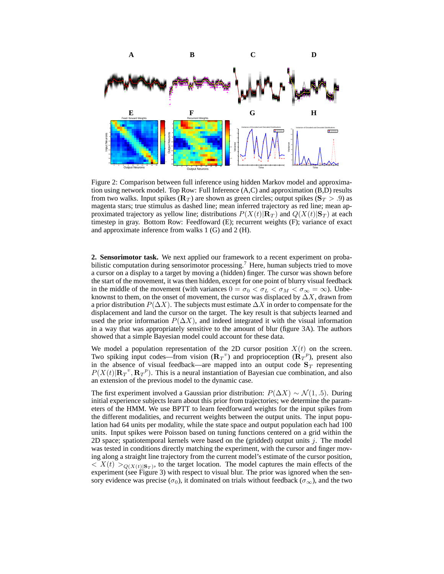

Figure 2: Comparison between full inference using hidden Markov model and approximation using network model. Top Row: Full Inference (A,C) and approximation (B,D) results from two walks. Input spikes  $({\bf R}_T)$  are shown as green circles; output spikes  $({\bf S}_T > .9)$  as magenta stars; true stimulus as dashed line; mean inferred trajectory as red line; mean approximated trajectory as yellow line; distributions  $P(X(t)|\mathbf{R}_T)$  and  $Q(X(t)|\mathbf{S}_T)$  at each timestep in gray. Bottom Row: Feedfoward (E); recurrent weights (F); variance of exact and approximate inference from walks 1 (G) and 2 (H).

**2. Sensorimotor task.** We next applied our framework to a recent experiment on probabilistic computation during sensorimotor processing.<sup>7</sup> Here, human subjects tried to move a cursor on a display to a target by moving a (hidden) finger. The cursor was shown before the start of the movement, it was then hidden, except for one point of blurry visual feedback in the middle of the movement (with variances  $0 = \sigma_0 < \sigma_L < \sigma_M < \sigma_\infty = \infty$ ). Unbeknownst to them, on the onset of movement, the cursor was displaced by  $\Delta X$ , drawn from a prior distribution  $P(\Delta X)$ . The subjects must estimate  $\Delta X$  in order to compensate for the displacement and land the cursor on the target. The key result is that subjects learned and used the prior information  $P(\Delta X)$ , and indeed integrated it with the visual information in a way that was appropriately sensitive to the amount of blur (figure 3A). The authors showed that a simple Bayesian model could account for these data.

We model a population representation of the 2D cursor position  $X(t)$  on the screen. Two spiking input codes—from vision  $(\mathbf{R}_T{}^v)$  and proprioception  $(\mathbf{R}_T{}^p)$ , present also in the absence of visual feedback—are mapped into an output code  $S_T$  representing  $P(X(t)|{\bf R}_T^v, {\bf R}_T^v)$ . This is a neural instantiation of Bayesian cue combination, and also an extension of the previous model to the dynamic case.

The first experiment involved a Gaussian prior distribution:  $P(\Delta X) \sim \mathcal{N}(1, .5)$ . During initial experience subjects learn about this prior from trajectories; we determine the parameters of the HMM. We use BPTT to learn feedforward weights for the input spikes from the different modalities, and recurrent weights between the output units. The input population had 64 units per modality, while the state space and output population each had 100 units. Input spikes were Poisson based on tuning functions centered on a grid within the 2D space; spatiotemporal kernels were based on the (gridded) output units  $j$ . The model was tested in conditions directly matching the experiment, with the cursor and finger moving along a straight line trajectory from the current model's estimate of the cursor position,  $\langle X(t) \rangle_{Q(X(t)|\mathbf{S}_T)}$ , to the target location. The model captures the main effects of the experiment (see Figure 3) with respect to visual blur. The prior was ignored when the sensory evidence was precise ( $\sigma_0$ ), it dominated on trials without feedback ( $\sigma_{\infty}$ ), and the two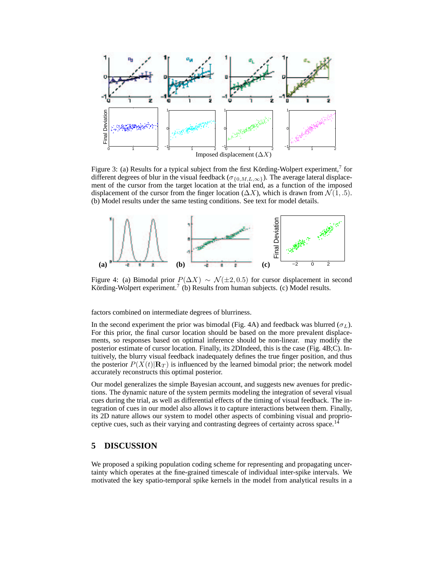

Figure 3: (a) Results for a typical subject from the first Körding-Wolpert experiment,<sup>7</sup> for different degrees of blur in the visual feedback ( $\sigma_{\{0,M,L,\infty\}}$ ). The average lateral displacement of the cursor from the target location at the trial end, as a function of the imposed displacement of the cursor from the finger location ( $\Delta X$ ), which is drawn from  $\mathcal{N}(1, .5)$ . (b) Model results under the same testing conditions. See text for model details.



Figure 4: (a) Bimodal prior  $P(\Delta X) \sim \mathcal{N}(\pm 2, 0.5)$  for cursor displacement in second Körding-Wolpert experiment.<sup>7</sup> (b) Results from human subjects. (c) Model results.

factors combined on intermediate degrees of blurriness.

In the second experiment the prior was bimodal (Fig. 4A) and feedback was blurred ( $\sigma_L$ ). For this prior, the final cursor location should be based on the more prevalent displacements, so responses based on optimal inference should be non-linear. may modify the posterior estimate of cursor location. Finally, its 2DIndeed, this is the case (Fig. 4B;C). Intuitively, the blurry visual feedback inadequately defines the true finger position, and thus the posterior  $P(X(t)|\mathbf{R}_T)$  is influenced by the learned bimodal prior; the network model accurately reconstructs this optimal posterior.

Our model generalizes the simple Bayesian account, and suggests new avenues for predictions. The dynamic nature of the system permits modeling the integration of several visual cues during the trial, as well as differential effects of the timing of visual feedback. The integration of cues in our model also allows it to capture interactions between them. Finally, its 2D nature allows our system to model other aspects of combining visual and proprioceptive cues, such as their varying and contrasting degrees of certainty across space.<sup>14</sup>

## **5 DISCUSSION**

We proposed a spiking population coding scheme for representing and propagating uncertainty which operates at the fine-grained timescale of individual inter-spike intervals. We motivated the key spatio-temporal spike kernels in the model from analytical results in a